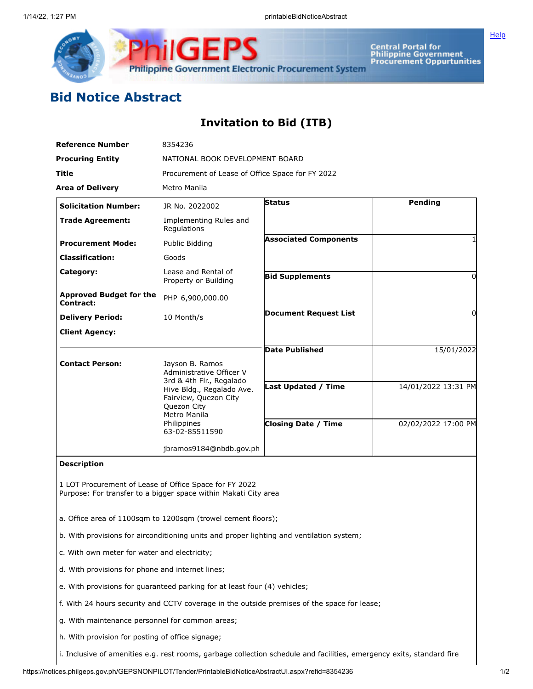

Central Portal for<br>Philippine Government<br>Procurement Oppurtunities

**[Help](javascript:void(window.open()** 

## **Bid Notice Abstract**

## **Invitation to Bid (ITB)**

| <b>Reference Number</b>                                                                                                                         | 8354236                                                                                                                       |                              |                     |
|-------------------------------------------------------------------------------------------------------------------------------------------------|-------------------------------------------------------------------------------------------------------------------------------|------------------------------|---------------------|
| <b>Procuring Entity</b>                                                                                                                         | NATIONAL BOOK DEVELOPMENT BOARD                                                                                               |                              |                     |
| Title                                                                                                                                           | Procurement of Lease of Office Space for FY 2022                                                                              |                              |                     |
| <b>Area of Delivery</b>                                                                                                                         | Metro Manila                                                                                                                  |                              |                     |
| <b>Solicitation Number:</b>                                                                                                                     | JR No. 2022002                                                                                                                | <b>Status</b>                | Pending             |
| <b>Trade Agreement:</b>                                                                                                                         | Implementing Rules and<br>Regulations                                                                                         |                              |                     |
| <b>Procurement Mode:</b>                                                                                                                        | Public Bidding                                                                                                                | <b>Associated Components</b> | 1                   |
| <b>Classification:</b>                                                                                                                          | Goods                                                                                                                         |                              |                     |
| Category:                                                                                                                                       | Lease and Rental of<br>Property or Building                                                                                   | <b>Bid Supplements</b>       | 0                   |
| <b>Approved Budget for the</b><br><b>Contract:</b>                                                                                              | PHP 6,900,000.00                                                                                                              |                              |                     |
| <b>Delivery Period:</b>                                                                                                                         | 10 Month/s                                                                                                                    | <b>Document Request List</b> | 0                   |
| <b>Client Agency:</b>                                                                                                                           |                                                                                                                               |                              |                     |
|                                                                                                                                                 |                                                                                                                               | <b>Date Published</b>        | 15/01/2022          |
| <b>Contact Person:</b>                                                                                                                          | Jayson B. Ramos<br>Administrative Officer V<br>3rd & 4th Flr., Regalado<br>Hive Bldg., Regalado Ave.<br>Fairview, Quezon City | <b>Last Updated / Time</b>   | 14/01/2022 13:31 PM |
|                                                                                                                                                 | Quezon City<br>Metro Manila<br>Philippines<br>63-02-85511590                                                                  | <b>Closing Date / Time</b>   | 02/02/2022 17:00 PM |
|                                                                                                                                                 | jbramos9184@nbdb.gov.ph                                                                                                       |                              |                     |
| <b>Description</b><br>1 LOT Procurement of Lease of Office Space for FY 2022<br>Purpose: For transfer to a bigger space within Makati City area |                                                                                                                               |                              |                     |
| a. Office area of 1100sqm to 1200sqm (trowel cement floors);                                                                                    |                                                                                                                               |                              |                     |
| b. With provisions for airconditioning units and proper lighting and ventilation system;                                                        |                                                                                                                               |                              |                     |
| c. With own meter for water and electricity;                                                                                                    |                                                                                                                               |                              |                     |
| d. With provisions for phone and internet lines;                                                                                                |                                                                                                                               |                              |                     |
| e. With provisions for guaranteed parking for at least four (4) vehicles;                                                                       |                                                                                                                               |                              |                     |
| f. With 24 hours security and CCTV coverage in the outside premises of the space for lease;                                                     |                                                                                                                               |                              |                     |
|                                                                                                                                                 |                                                                                                                               |                              |                     |

g. With maintenance personnel for common areas;

h. With provision for posting of office signage;

i. Inclusive of amenities e.g. rest rooms, garbage collection schedule and facilities, emergency exits, standard fire